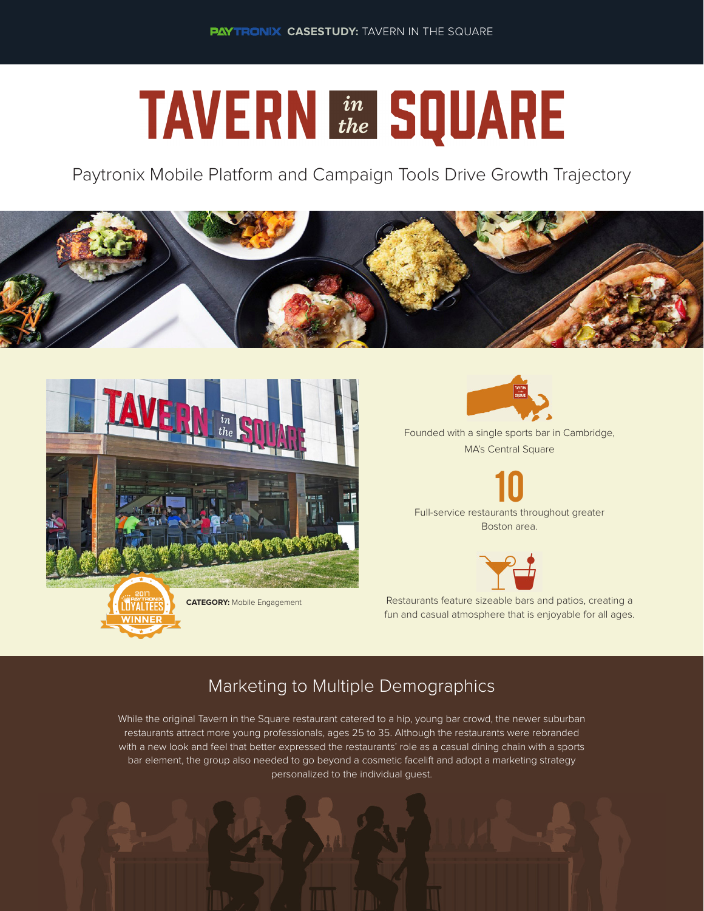# **TAVERN in SQUARE**

Paytronix Mobile Platform and Campaign Tools Drive Growth Trajectory







Founded with a single sports bar in Cambridge, MA's Central Square

10 Full-service restaurants throughout greater



Boston area.

**CATEGORY:** Mobile Engagement Restaurants feature sizeable bars and patios, creating a fun and casual atmosphere that is enjoyable for all ages.

## Marketing to Multiple Demographics

While the original Tavern in the Square restaurant catered to a hip, young bar crowd, the newer suburban restaurants attract more young professionals, ages 25 to 35. Although the restaurants were rebranded with a new look and feel that better expressed the restaurants' role as a casual dining chain with a sports bar element, the group also needed to go beyond a cosmetic facelift and adopt a marketing strategy personalized to the individual guest.